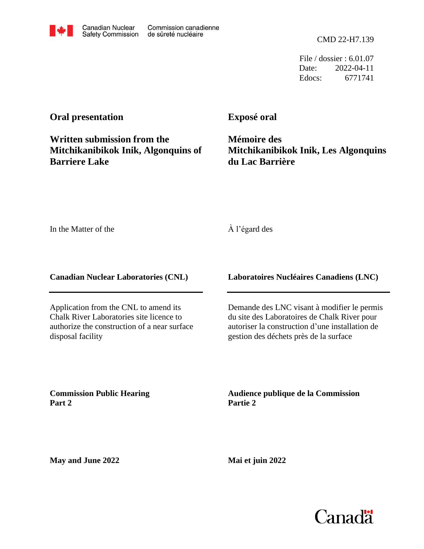File / dossier : 6.01.07 Date: 2022-04-11 Edocs: 6771741

# **Oral presentation**

# **Written submission from the Mitchikanibikok Inik, Algonquins of Barriere Lake**

**Canadian Nuclear** 

**Safety Commission** 

Commission canadienne

de sûreté nucléaire

# **Exposé oral**

**Mémoire des Mitchikanibikok Inik, Les Algonquins du Lac Barrière**

In the Matter of the

### À l'égard des

**Canadian Nuclear Laboratories (CNL)**

Application from the CNL to amend its Chalk River Laboratories site licence to authorize the construction of a near surface disposal facility

**Laboratoires Nucléaires Canadiens (LNC)**

Demande des LNC visant à modifier le permis du site des Laboratoires de Chalk River pour autoriser la construction d'une installation de gestion des déchets près de la surface

**Commission Public Hearing Part 2**

**Audience publique de la Commission Partie 2**

**May and June 2022**

**Mai et juin 2022**

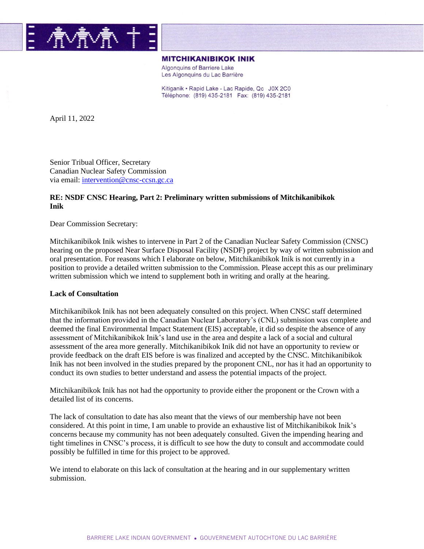

#### **MITCHIKANIBIKOK INIK**

Algonquins of Barriere Lake Les Algonquins du Lac Barrière

Kitiganik • Rapid Lake - Lac Rapide, Qc J0X 2C0 Téléphone: (819) 435-2181 Fax: (819) 435-2181

April 11, 2022

Senior Tribual Officer, Secretary Canadian Nuclear Safety Commission via email: [intervention@cnsc-ccsn.gc.ca](mailto:intervention@cnsc-ccsn.gc.ca)

### **RE: NSDF CNSC Hearing, Part 2: Preliminary written submissions of Mitchikanibikok Inik**

Dear Commission Secretary:

Mitchikanibikok Inik wishes to intervene in Part 2 of the Canadian Nuclear Safety Commission (CNSC) hearing on the proposed Near Surface Disposal Facility (NSDF) project by way of written submission and oral presentation. For reasons which I elaborate on below, Mitchikanibikok Inik is not currently in a position to provide a detailed written submission to the Commission. Please accept this as our preliminary written submission which we intend to supplement both in writing and orally at the hearing.

#### **Lack of Consultation**

Mitchikanibikok Inik has not been adequately consulted on this project. When CNSC staff determined that the information provided in the Canadian Nuclear Laboratory's (CNL) submission was complete and deemed the final Environmental Impact Statement (EIS) acceptable, it did so despite the absence of any assessment of Mitchikanibikok Inik's land use in the area and despite a lack of a social and cultural assessment of the area more generally. Mitchikanibikok Inik did not have an opportunity to review or provide feedback on the draft EIS before is was finalized and accepted by the CNSC. Mitchikanibikok Inik has not been involved in the studies prepared by the proponent CNL, nor has it had an opportunity to conduct its own studies to better understand and assess the potential impacts of the project.

Mitchikanibikok Inik has not had the opportunity to provide either the proponent or the Crown with a detailed list of its concerns.

The lack of consultation to date has also meant that the views of our membership have not been considered. At this point in time, I am unable to provide an exhaustive list of Mitchikanibikok Inik's concerns because my community has not been adequately consulted. Given the impending hearing and tight timelines in CNSC's process, it is difficult to see how the duty to consult and accommodate could possibly be fulfilled in time for this project to be approved.

We intend to elaborate on this lack of consultation at the hearing and in our supplementary written submission.